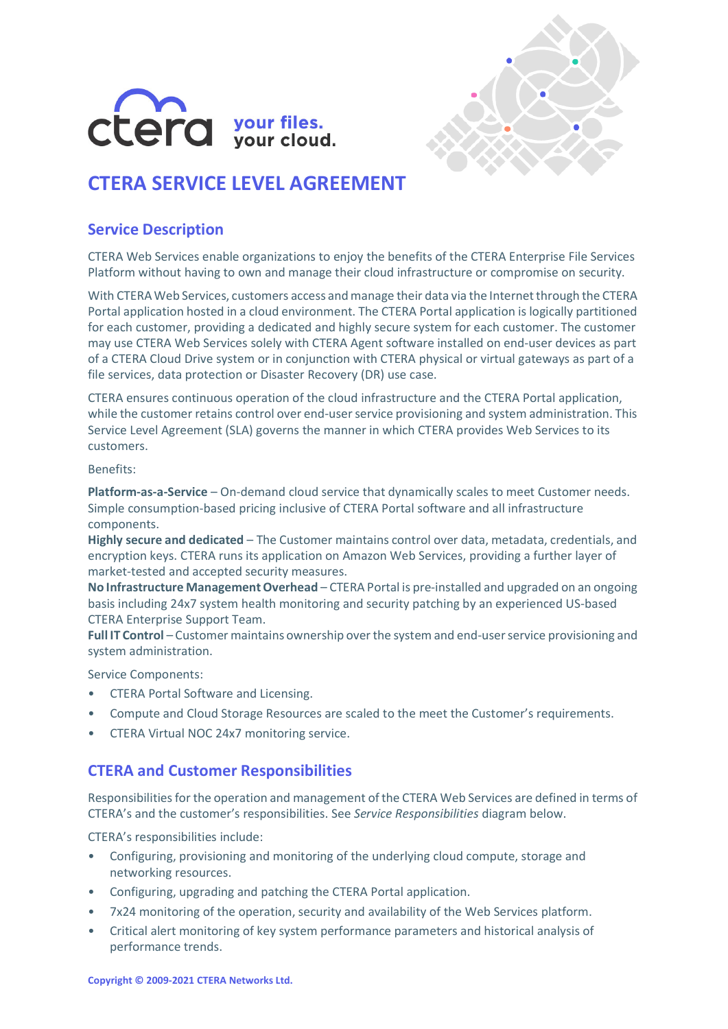



# **CTERA SERVICE LEVEL AGREEMENT**

### **Service Description**

CTERA Web Services enable organizations to enjoy the benefits of the CTERA Enterprise File Services Platform without having to own and manage their cloud infrastructure or compromise on security.

With CTERA Web Services, customers access and manage their data via the Internet through the CTERA Portal application hosted in a cloud environment. The CTERA Portal application is logically partitioned for each customer, providing a dedicated and highly secure system for each customer. The customer may use CTERA Web Services solely with CTERA Agent software installed on end-user devices as part of a CTERA Cloud Drive system or in conjunction with CTERA physical or virtual gateways as part of a file services, data protection or Disaster Recovery (DR) use case.

CTERA ensures continuous operation of the cloud infrastructure and the CTERA Portal application, while the customer retains control over end-user service provisioning and system administration. This Service Level Agreement (SLA) governs the manner in which CTERA provides Web Services to its customers.

#### Benefits:

**Platform-as-a-Service** – On-demand cloud service that dynamically scales to meet Customer needs. Simple consumption-based pricing inclusive of CTERA Portal software and all infrastructure components.

**Highly secure and dedicated** – The Customer maintains control over data, metadata, credentials, and encryption keys. CTERA runs its application on Amazon Web Services, providing a further layer of market-tested and accepted security measures.

**No Infrastructure Management Overhead** – CTERA Portal is pre-installed and upgraded on an ongoing basis including 24x7 system health monitoring and security patching by an experienced US-based CTERA Enterprise Support Team.

**Full IT Control** – Customer maintains ownership over the system and end-user service provisioning and system administration.

Service Components:

- CTERA Portal Software and Licensing.
- Compute and Cloud Storage Resources are scaled to the meet the Customer's requirements.
- CTERA Virtual NOC 24x7 monitoring service.

### **CTERA and Customer Responsibilities**

Responsibilities for the operation and management of the CTERA Web Services are defined in terms of CTERA's and the customer's responsibilities. See *Service Responsibilities* diagram below.

CTERA's responsibilities include:

- Configuring, provisioning and monitoring of the underlying cloud compute, storage and networking resources.
- Configuring, upgrading and patching the CTERA Portal application.
- 7x24 monitoring of the operation, security and availability of the Web Services platform.
- Critical alert monitoring of key system performance parameters and historical analysis of performance trends.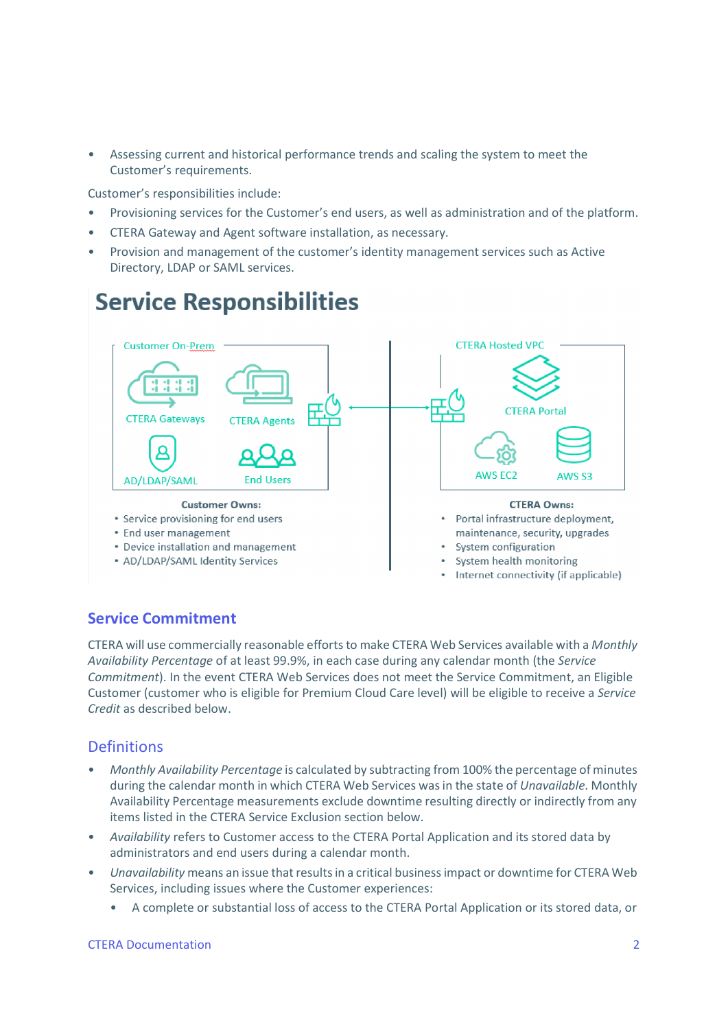• Assessing current and historical performance trends and scaling the system to meet the Customer's requirements.

Customer's responsibilities include:

- Provisioning services for the Customer's end users, as well as administration and of the platform.
- CTERA Gateway and Agent software installation, as necessary.
- Provision and management of the customer's identity management services such as Active Directory, LDAP or SAML services.



- 
- AD/LDAP/SAML Identity Services
- System health monitoring
- Internet connectivity (if applicable)

## **Service Commitment**

CTERA will use commercially reasonable efforts to make CTERA Web Services available with a *Monthly Availability Percentage* of at least 99.9%, in each case during any calendar month (the *Service Commitment*). In the event CTERA Web Services does not meet the Service Commitment, an Eligible Customer (customer who is eligible for Premium Cloud Care level) will be eligible to receive a *Service Credit* as described below.

## **Definitions**

- *Monthly Availability Percentage* is calculated by subtracting from 100% the percentage of minutes during the calendar month in which CTERA Web Services was in the state of *Unavailable*. Monthly Availability Percentage measurements exclude downtime resulting directly or indirectly from any items listed in the CTERA Service Exclusion section below.
- *Availability* refers to Customer access to the CTERA Portal Application and its stored data by administrators and end users during a calendar month.
- *Unavailability* means an issue that results in a critical business impact or downtime for CTERA Web Services, including issues where the Customer experiences:
	- A complete or substantial loss of access to the CTERA Portal Application or its stored data, or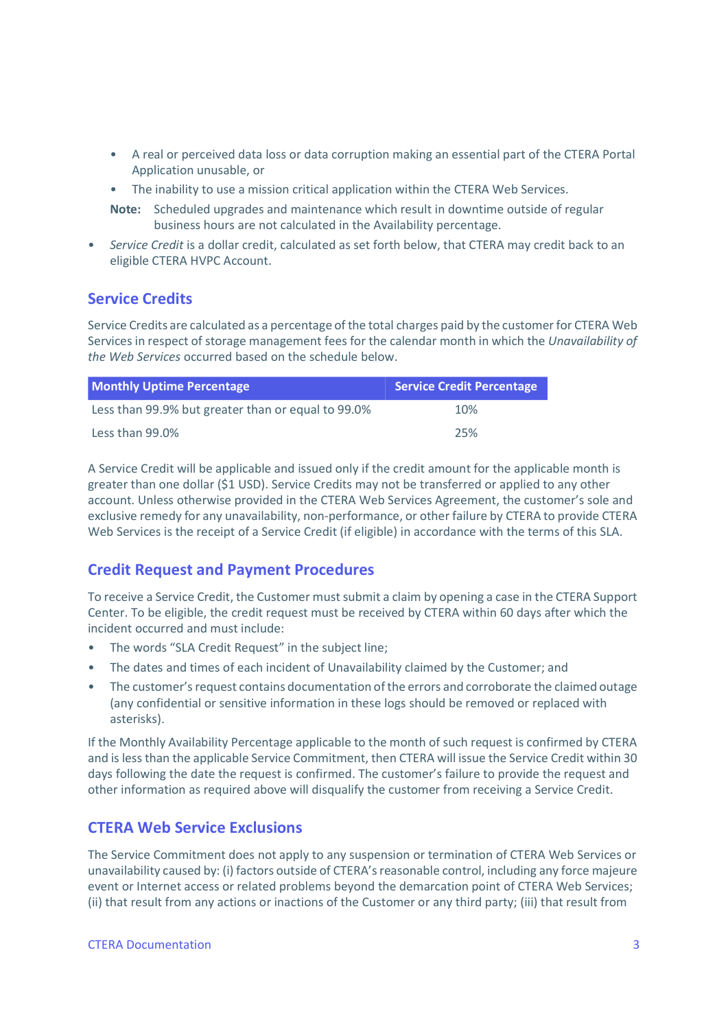- A real or perceived data loss or data corruption making an essential part of the CTERA Portal Application unusable, or
- The inability to use a mission critical application within the CTERA Web Services.
- **Note:** Scheduled upgrades and maintenance which result in downtime outside of regular business hours are not calculated in the Availability percentage.
- *Service Credit* is a dollar credit, calculated as set forth below, that CTERA may credit back to an eligible CTERA HVPC Account.

#### **Service Credits**

Service Credits are calculated as a percentage of the total charges paid by the customer for CTERA Web Services in respect of storage management fees for the calendar month in which the *Unavailability of the Web Services* occurred based on the schedule below.

| <b>Monthly Uptime Percentage</b>                   | <b>Service Credit Percentage</b> |
|----------------------------------------------------|----------------------------------|
| Less than 99.9% but greater than or equal to 99.0% | 10%                              |
| Less than 99.0%                                    | 25%                              |

A Service Credit will be applicable and issued only if the credit amount for the applicable month is greater than one dollar (\$1 USD). Service Credits may not be transferred or applied to any other account. Unless otherwise provided in the CTERA Web Services Agreement, the customer's sole and exclusive remedy for any unavailability, non-performance, or other failure by CTERA to provide CTERA Web Services is the receipt of a Service Credit (if eligible) in accordance with the terms of this SLA.

### **Credit Request and Payment Procedures**

To receive a Service Credit, the Customer must submit a claim by opening a case in the CTERA Support Center. To be eligible, the credit request must be received by CTERA within 60 days after which the incident occurred and must include:

- The words "SLA Credit Request" in the subject line;
- The dates and times of each incident of Unavailability claimed by the Customer; and
- The customer's request contains documentation of the errors and corroborate the claimed outage (any confidential or sensitive information in these logs should be removed or replaced with asterisks).

If the Monthly Availability Percentage applicable to the month of such request is confirmed by CTERA and is less than the applicable Service Commitment, then CTERA will issue the Service Credit within 30 days following the date the request is confirmed. The customer's failure to provide the request and other information as required above will disqualify the customer from receiving a Service Credit.

### **CTERA Web Service Exclusions**

The Service Commitment does not apply to any suspension or termination of CTERA Web Services or unavailability caused by: (i) factors outside of CTERA's reasonable control, including any force majeure event or Internet access or related problems beyond the demarcation point of CTERA Web Services; (ii) that result from any actions or inactions of the Customer or any third party; (iii) that result from